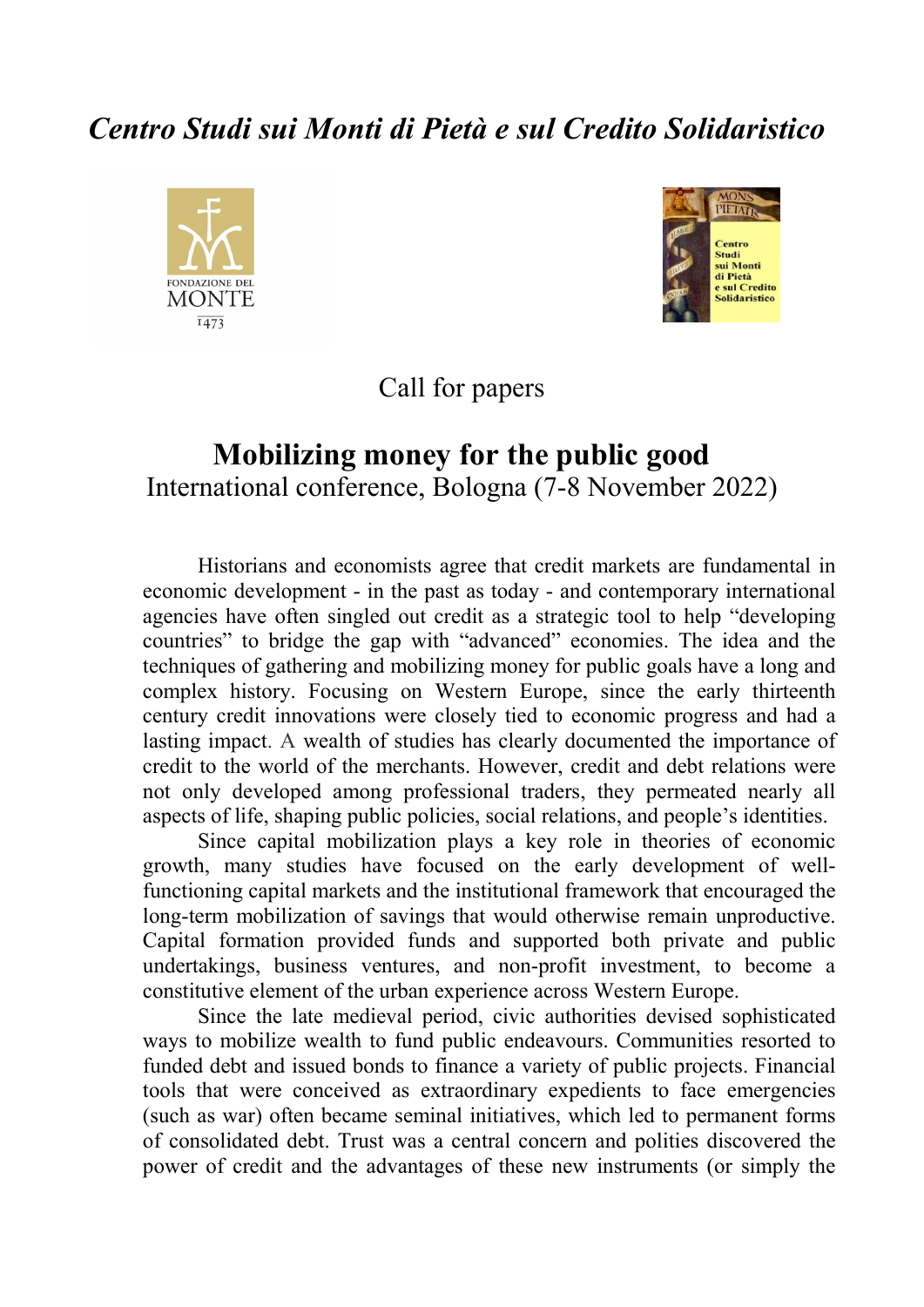# *Centro Studi sui Monti di Pietà e sul Credito Solidaristico*





Call for papers

# **Mobilizing money for the public good** International conference, Bologna (7-8 November 2022)

Historians and economists agree that credit markets are fundamental in economic development - in the past as today - and contemporary international agencies have often singled out credit as a strategic tool to help "developing countries" to bridge the gap with "advanced" economies. The idea and the techniques of gathering and mobilizing money for public goals have a long and complex history. Focusing on Western Europe, since the early thirteenth century credit innovations were closely tied to economic progress and had a lasting impact. A wealth of studies has clearly documented the importance of credit to the world of the merchants. However, credit and debt relations were not only developed among professional traders, they permeated nearly all aspects of life, shaping public policies, social relations, and people's identities.

Since capital mobilization plays a key role in theories of economic growth, many studies have focused on the early development of wellfunctioning capital markets and the institutional framework that encouraged the long-term mobilization of savings that would otherwise remain unproductive. Capital formation provided funds and supported both private and public undertakings, business ventures, and non-profit investment, to become a constitutive element of the urban experience across Western Europe.

Since the late medieval period, civic authorities devised sophisticated ways to mobilize wealth to fund public endeavours. Communities resorted to funded debt and issued bonds to finance a variety of public projects. Financial tools that were conceived as extraordinary expedients to face emergencies (such as war) often became seminal initiatives, which led to permanent forms of consolidated debt. Trust was a central concern and polities discovered the power of credit and the advantages of these new instruments (or simply the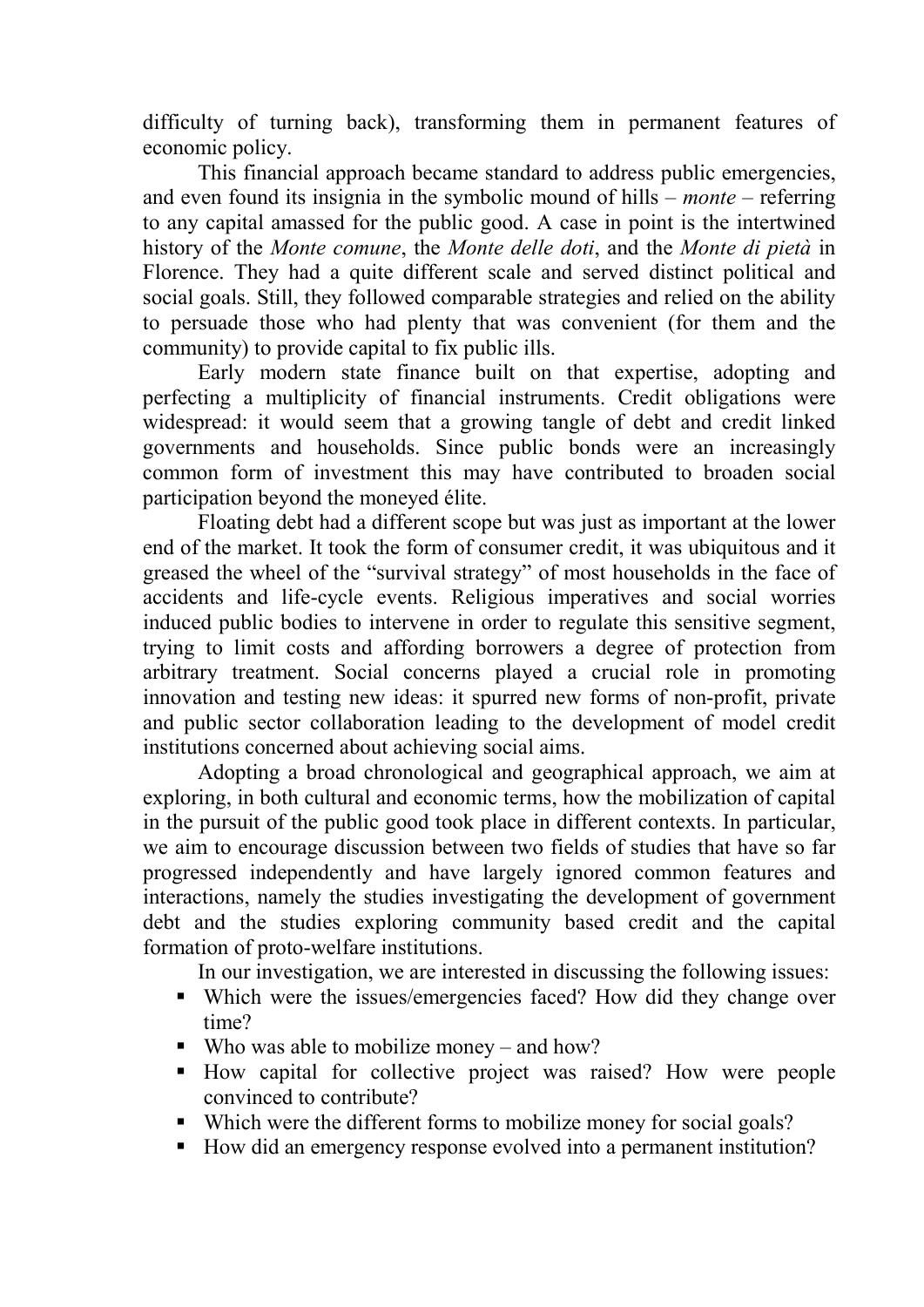difficulty of turning back), transforming them in permanent features of economic policy.

This financial approach became standard to address public emergencies, and even found its insignia in the symbolic mound of hills – *monte* – referring to any capital amassed for the public good. A case in point is the intertwined history of the *Monte comune*, the *Monte delle doti*, and the *Monte di pietà* in Florence. They had a quite different scale and served distinct political and social goals. Still, they followed comparable strategies and relied on the ability to persuade those who had plenty that was convenient (for them and the community) to provide capital to fix public ills.

Early modern state finance built on that expertise, adopting and perfecting a multiplicity of financial instruments. Credit obligations were widespread: it would seem that a growing tangle of debt and credit linked governments and households. Since public bonds were an increasingly common form of investment this may have contributed to broaden social participation beyond the moneyed élite.

Floating debt had a different scope but was just as important at the lower end of the market. It took the form of consumer credit, it was ubiquitous and it greased the wheel of the "survival strategy" of most households in the face of accidents and life-cycle events. Religious imperatives and social worries induced public bodies to intervene in order to regulate this sensitive segment, trying to limit costs and affording borrowers a degree of protection from arbitrary treatment. Social concerns played a crucial role in promoting innovation and testing new ideas: it spurred new forms of non-profit, private and public sector collaboration leading to the development of model credit institutions concerned about achieving social aims.

Adopting a broad chronological and geographical approach, we aim at exploring, in both cultural and economic terms, how the mobilization of capital in the pursuit of the public good took place in different contexts. In particular, we aim to encourage discussion between two fields of studies that have so far progressed independently and have largely ignored common features and interactions, namely the studies investigating the development of government debt and the studies exploring community based credit and the capital formation of proto-welfare institutions.

In our investigation, we are interested in discussing the following issues:

- Which were the issues/emergencies faced? How did they change over time?
- Who was able to mobilize money and how?
- How capital for collective project was raised? How were people convinced to contribute?
- Which were the different forms to mobilize money for social goals?
- How did an emergency response evolved into a permanent institution?